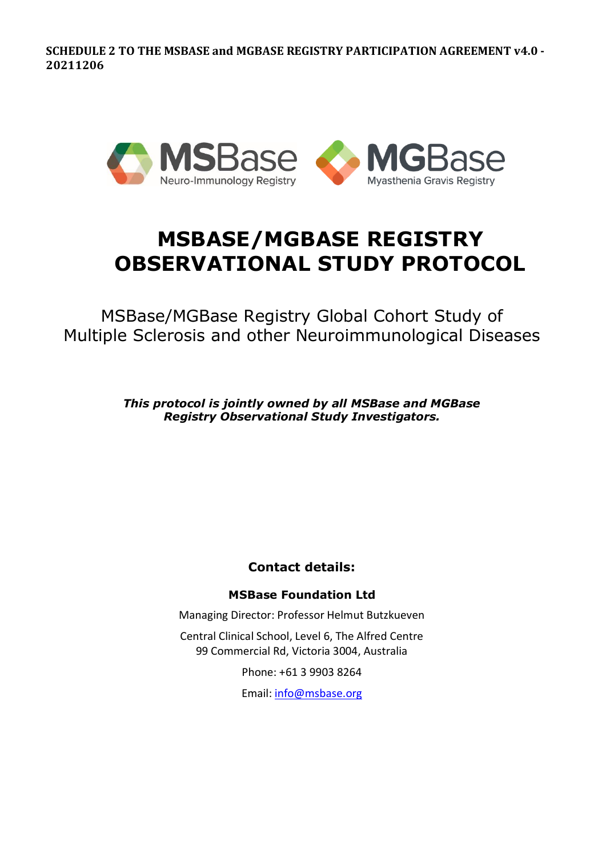

# **MSBASE/MGBASE REGISTRY OBSERVATIONAL STUDY PROTOCOL**

MSBase/MGBase Registry Global Cohort Study of Multiple Sclerosis and other Neuroimmunological Diseases

> *This protocol is jointly owned by all MSBase and MGBase Registry Observational Study Investigators.*

> > **Contact details:**

# **MSBase Foundation Ltd**

Managing Director: Professor Helmut Butzkueven

Central Clinical School, Level 6, The Alfred Centre 99 Commercial Rd, Victoria 3004, Australia

Phone: +61 3 9903 8264

Email: [info@msbase.org](mailto:info@msbase.org)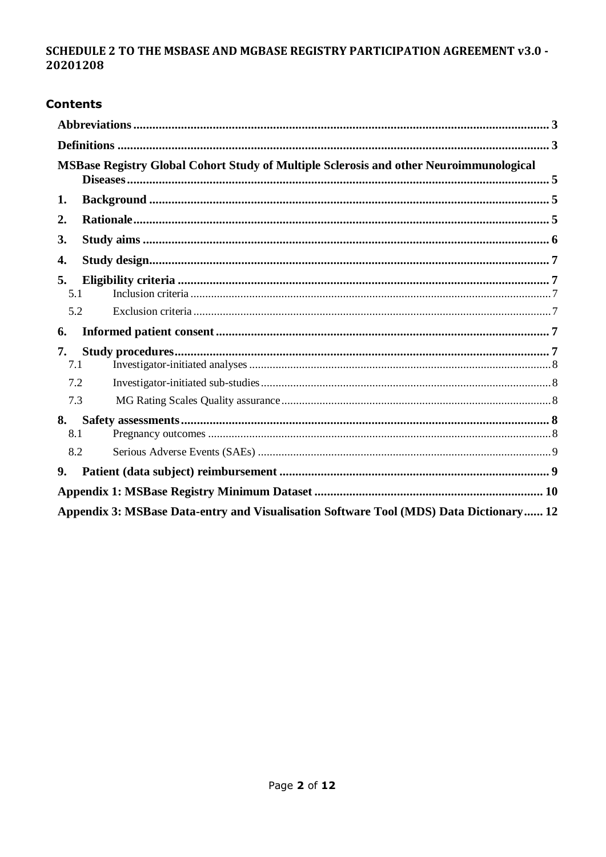# **Contents**

|                                                                                        | MSBase Registry Global Cohort Study of Multiple Sclerosis and other Neuroimmunological |  |  |  |  |  |
|----------------------------------------------------------------------------------------|----------------------------------------------------------------------------------------|--|--|--|--|--|
| 1.                                                                                     |                                                                                        |  |  |  |  |  |
| 2.                                                                                     |                                                                                        |  |  |  |  |  |
| 3.                                                                                     |                                                                                        |  |  |  |  |  |
| 4.                                                                                     |                                                                                        |  |  |  |  |  |
| 5.<br>5.1                                                                              |                                                                                        |  |  |  |  |  |
| 5.2                                                                                    |                                                                                        |  |  |  |  |  |
| 6.                                                                                     |                                                                                        |  |  |  |  |  |
| 7.                                                                                     |                                                                                        |  |  |  |  |  |
| 7.1                                                                                    |                                                                                        |  |  |  |  |  |
| 7.2                                                                                    |                                                                                        |  |  |  |  |  |
| 7.3                                                                                    |                                                                                        |  |  |  |  |  |
| 8.                                                                                     |                                                                                        |  |  |  |  |  |
| 8.1                                                                                    |                                                                                        |  |  |  |  |  |
| 8.2                                                                                    |                                                                                        |  |  |  |  |  |
| 9.                                                                                     |                                                                                        |  |  |  |  |  |
|                                                                                        |                                                                                        |  |  |  |  |  |
| Appendix 3: MSBase Data-entry and Visualisation Software Tool (MDS) Data Dictionary 12 |                                                                                        |  |  |  |  |  |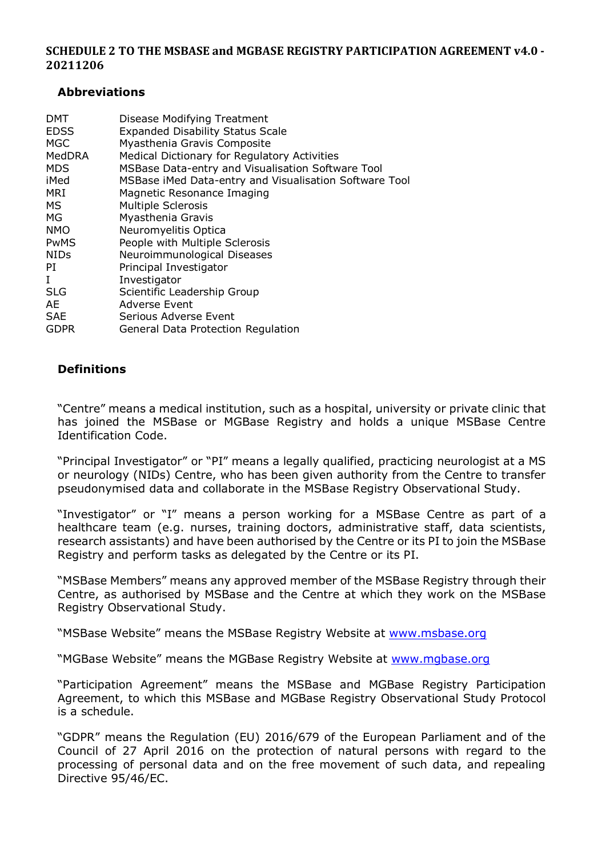#### <span id="page-2-0"></span>**Abbreviations**

| <b>DMT</b><br><b>EDSS</b><br><b>MGC</b><br>MedDRA<br><b>MDS</b><br>iMed<br>MRI<br>MS.<br>МG<br><b>NMO</b><br>PwMS | Disease Modifying Treatment<br><b>Expanded Disability Status Scale</b><br>Myasthenia Gravis Composite<br>Medical Dictionary for Regulatory Activities<br>MSBase Data-entry and Visualisation Software Tool<br>MSBase iMed Data-entry and Visualisation Software Tool<br>Magnetic Resonance Imaging<br><b>Multiple Sclerosis</b><br>Myasthenia Gravis<br>Neuromyelitis Optica<br>People with Multiple Sclerosis |
|-------------------------------------------------------------------------------------------------------------------|----------------------------------------------------------------------------------------------------------------------------------------------------------------------------------------------------------------------------------------------------------------------------------------------------------------------------------------------------------------------------------------------------------------|
| <b>NIDs</b>                                                                                                       | Neuroimmunological Diseases                                                                                                                                                                                                                                                                                                                                                                                    |
| PI                                                                                                                | Principal Investigator                                                                                                                                                                                                                                                                                                                                                                                         |
| L                                                                                                                 | Investigator                                                                                                                                                                                                                                                                                                                                                                                                   |
| <b>SLG</b>                                                                                                        | Scientific Leadership Group                                                                                                                                                                                                                                                                                                                                                                                    |
| AE                                                                                                                | <b>Adverse Event</b>                                                                                                                                                                                                                                                                                                                                                                                           |
| <b>SAE</b>                                                                                                        | Serious Adverse Event                                                                                                                                                                                                                                                                                                                                                                                          |
| <b>GDPR</b>                                                                                                       | General Data Protection Regulation                                                                                                                                                                                                                                                                                                                                                                             |

## <span id="page-2-1"></span>**Definitions**

"Centre" means a medical institution, such as a hospital, university or private clinic that has joined the MSBase or MGBase Registry and holds a unique MSBase Centre Identification Code.

"Principal Investigator" or "PI" means a legally qualified, practicing neurologist at a MS or neurology (NIDs) Centre, who has been given authority from the Centre to transfer pseudonymised data and collaborate in the MSBase Registry Observational Study.

"Investigator" or "I" means a person working for a MSBase Centre as part of a healthcare team (e.g. nurses, training doctors, administrative staff, data scientists, research assistants) and have been authorised by the Centre or its PI to join the MSBase Registry and perform tasks as delegated by the Centre or its PI.

"MSBase Members" means any approved member of the MSBase Registry through their Centre, as authorised by MSBase and the Centre at which they work on the MSBase Registry Observational Study.

"MSBase Website" means the MSBase Registry Website at [www.msbase.org](http://www.msbase.org/)

"MGBase Website" means the MGBase Registry Website at [www.mgbase.org](http://www.mgbase.org/)

"Participation Agreement" means the MSBase and MGBase Registry Participation Agreement, to which this MSBase and MGBase Registry Observational Study Protocol is a schedule.

"GDPR" means the Regulation (EU) 2016/679 of the European Parliament and of the Council of 27 April 2016 on the protection of natural persons with regard to the processing of personal data and on the free movement of such data, and repealing Directive 95/46/EC.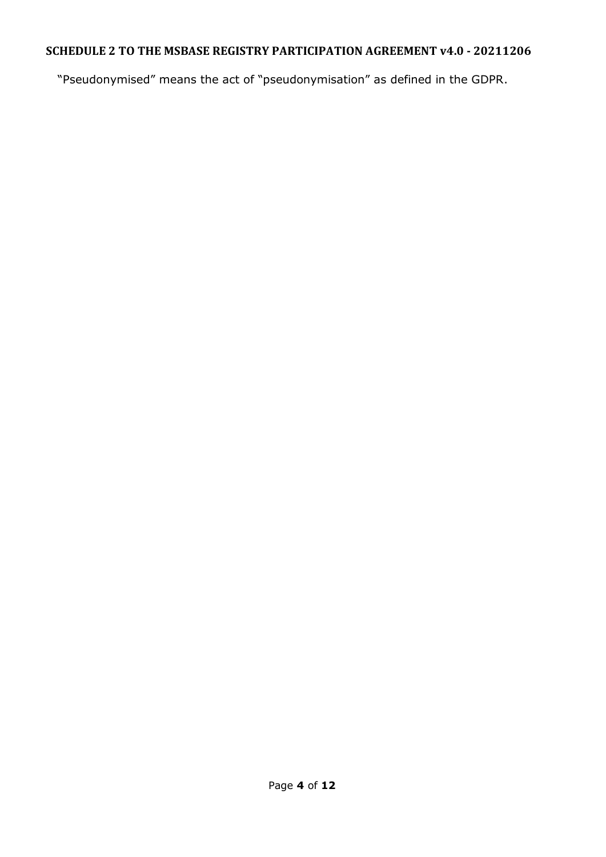"Pseudonymised" means the act of "pseudonymisation" as defined in the GDPR.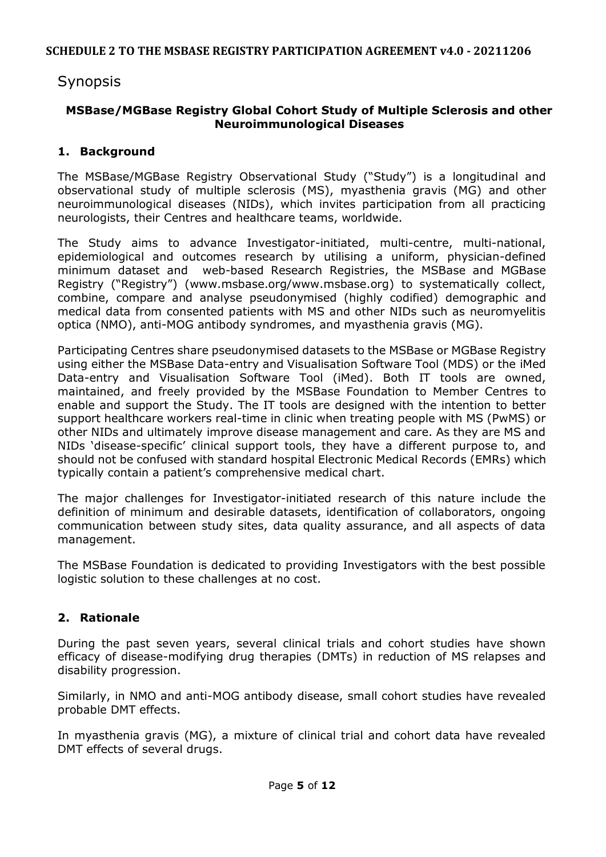# Synopsis

## <span id="page-4-0"></span>**MSBase/MGBase Registry Global Cohort Study of Multiple Sclerosis and other Neuroimmunological Diseases**

## <span id="page-4-1"></span>**1. Background**

The MSBase/MGBase Registry Observational Study ("Study") is a longitudinal and observational study of multiple sclerosis (MS), myasthenia gravis (MG) and other neuroimmunological diseases (NIDs), which invites participation from all practicing neurologists, their Centres and healthcare teams, worldwide.

The Study aims to advance Investigator-initiated, multi-centre, multi-national, epidemiological and outcomes research by utilising a uniform, physician-defined minimum dataset and web-based Research Registries, the MSBase and MGBase Registry ("Registry") (www.msbase.org/www.msbase.org) to systematically collect, combine, compare and analyse pseudonymised (highly codified) demographic and medical data from consented patients with MS and other NIDs such as neuromyelitis optica (NMO), anti-MOG antibody syndromes, and myasthenia gravis (MG).

Participating Centres share pseudonymised datasets to the MSBase or MGBase Registry using either the MSBase Data-entry and Visualisation Software Tool (MDS) or the iMed Data-entry and Visualisation Software Tool (iMed). Both IT tools are owned, maintained, and freely provided by the MSBase Foundation to Member Centres to enable and support the Study. The IT tools are designed with the intention to better support healthcare workers real-time in clinic when treating people with MS (PwMS) or other NIDs and ultimately improve disease management and care. As they are MS and NIDs 'disease-specific' clinical support tools, they have a different purpose to, and should not be confused with standard hospital Electronic Medical Records (EMRs) which typically contain a patient's comprehensive medical chart.

The major challenges for Investigator-initiated research of this nature include the definition of minimum and desirable datasets, identification of collaborators, ongoing communication between study sites, data quality assurance, and all aspects of data management.

The MSBase Foundation is dedicated to providing Investigators with the best possible logistic solution to these challenges at no cost.

#### <span id="page-4-2"></span>**2. Rationale**

During the past seven years, several clinical trials and cohort studies have shown efficacy of disease-modifying drug therapies (DMTs) in reduction of MS relapses and disability progression.

Similarly, in NMO and anti-MOG antibody disease, small cohort studies have revealed probable DMT effects.

In myasthenia gravis (MG), a mixture of clinical trial and cohort data have revealed DMT effects of several drugs.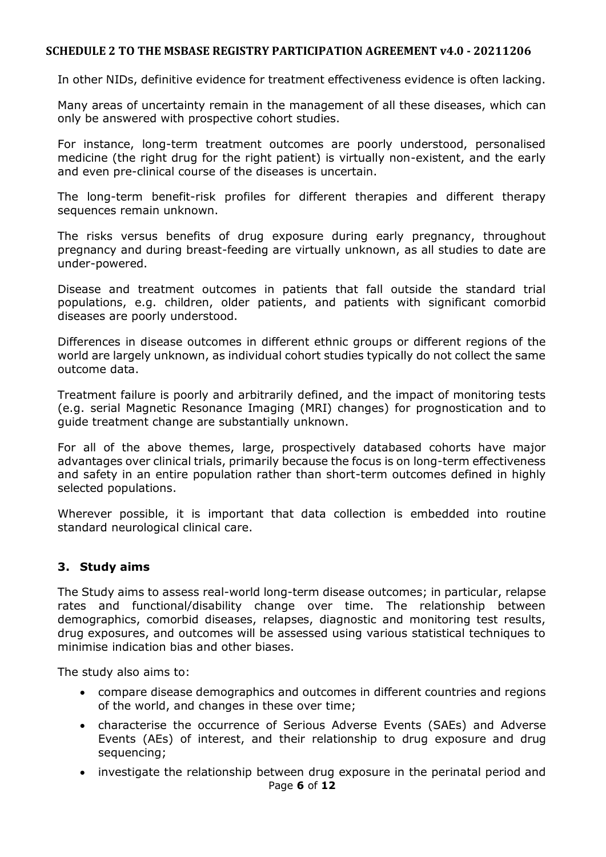In other NIDs, definitive evidence for treatment effectiveness evidence is often lacking.

Many areas of uncertainty remain in the management of all these diseases, which can only be answered with prospective cohort studies.

For instance, long-term treatment outcomes are poorly understood, personalised medicine (the right drug for the right patient) is virtually non-existent, and the early and even pre-clinical course of the diseases is uncertain.

The long-term benefit-risk profiles for different therapies and different therapy sequences remain unknown.

The risks versus benefits of drug exposure during early pregnancy, throughout pregnancy and during breast-feeding are virtually unknown, as all studies to date are under-powered.

Disease and treatment outcomes in patients that fall outside the standard trial populations, e.g. children, older patients, and patients with significant comorbid diseases are poorly understood.

Differences in disease outcomes in different ethnic groups or different regions of the world are largely unknown, as individual cohort studies typically do not collect the same outcome data.

Treatment failure is poorly and arbitrarily defined, and the impact of monitoring tests (e.g. serial Magnetic Resonance Imaging (MRI) changes) for prognostication and to guide treatment change are substantially unknown.

For all of the above themes, large, prospectively databased cohorts have major advantages over clinical trials, primarily because the focus is on long-term effectiveness and safety in an entire population rather than short-term outcomes defined in highly selected populations.

Wherever possible, it is important that data collection is embedded into routine standard neurological clinical care.

### <span id="page-5-0"></span>**3. Study aims**

The Study aims to assess real-world long-term disease outcomes; in particular, relapse rates and functional/disability change over time. The relationship between demographics, comorbid diseases, relapses, diagnostic and monitoring test results, drug exposures, and outcomes will be assessed using various statistical techniques to minimise indication bias and other biases.

The study also aims to:

- compare disease demographics and outcomes in different countries and regions of the world, and changes in these over time;
- characterise the occurrence of Serious Adverse Events (SAEs) and Adverse Events (AEs) of interest, and their relationship to drug exposure and drug sequencing;
- Page **6** of **12** investigate the relationship between drug exposure in the perinatal period and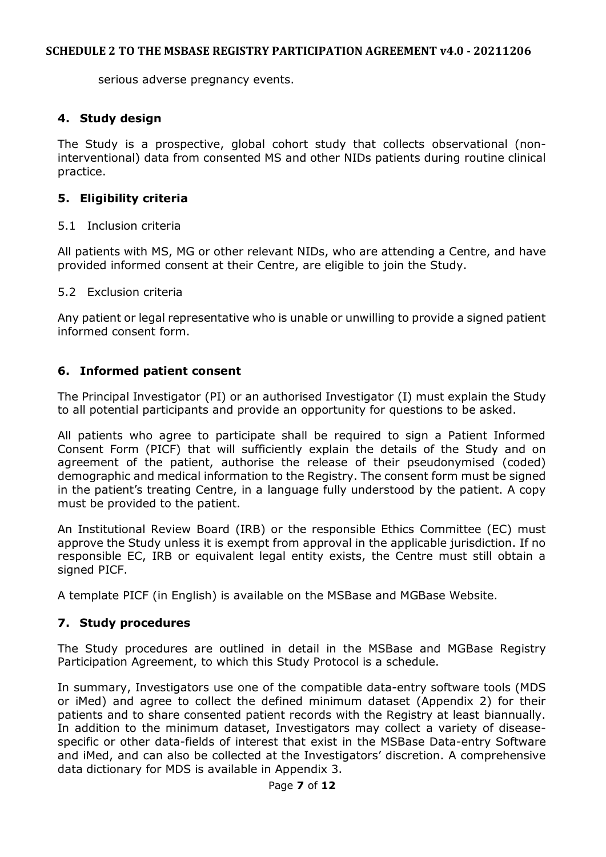serious adverse pregnancy events.

## <span id="page-6-0"></span>**4. Study design**

The Study is a prospective, global cohort study that collects observational (noninterventional) data from consented MS and other NIDs patients during routine clinical practice.

## <span id="page-6-1"></span>**5. Eligibility criteria**

#### <span id="page-6-2"></span>5.1 Inclusion criteria

All patients with MS, MG or other relevant NIDs, who are attending a Centre, and have provided informed consent at their Centre, are eligible to join the Study.

#### <span id="page-6-3"></span>5.2 Exclusion criteria

Any patient or legal representative who is unable or unwilling to provide a signed patient informed consent form.

#### <span id="page-6-4"></span>**6. Informed patient consent**

The Principal Investigator (PI) or an authorised Investigator (I) must explain the Study to all potential participants and provide an opportunity for questions to be asked.

All patients who agree to participate shall be required to sign a Patient Informed Consent Form (PICF) that will sufficiently explain the details of the Study and on agreement of the patient, authorise the release of their pseudonymised (coded) demographic and medical information to the Registry. The consent form must be signed in the patient's treating Centre, in a language fully understood by the patient. A copy must be provided to the patient.

An Institutional Review Board (IRB) or the responsible Ethics Committee (EC) must approve the Study unless it is exempt from approval in the applicable jurisdiction. If no responsible EC, IRB or equivalent legal entity exists, the Centre must still obtain a signed PICF.

A template PICF (in English) is available on the MSBase and MGBase Website.

#### <span id="page-6-5"></span>**7. Study procedures**

The Study procedures are outlined in detail in the MSBase and MGBase Registry Participation Agreement, to which this Study Protocol is a schedule.

In summary, Investigators use one of the compatible data-entry software tools (MDS or iMed) and agree to collect the defined minimum dataset (Appendix 2) for their patients and to share consented patient records with the Registry at least biannually. In addition to the minimum dataset, Investigators may collect a variety of diseasespecific or other data-fields of interest that exist in the MSBase Data-entry Software and iMed, and can also be collected at the Investigators' discretion. A comprehensive data dictionary for MDS is available in Appendix 3.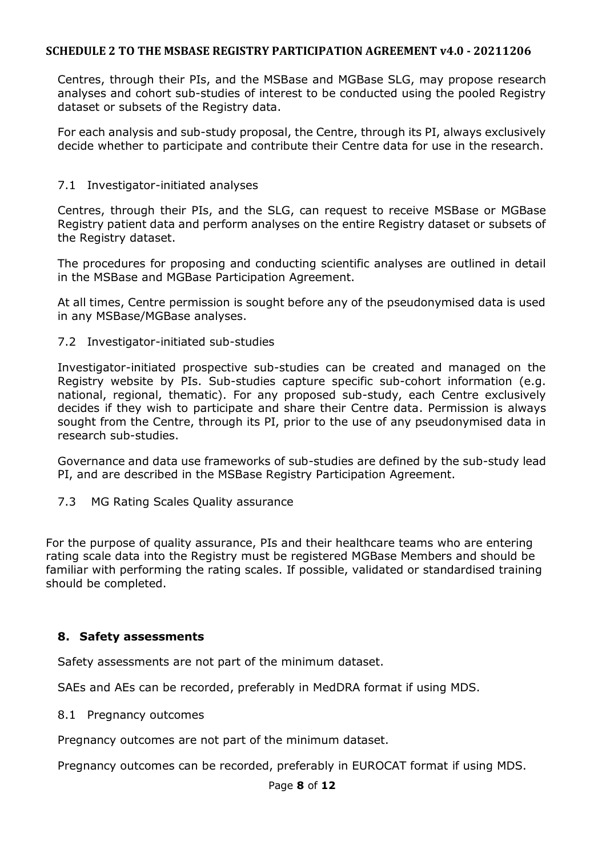Centres, through their PIs, and the MSBase and MGBase SLG, may propose research analyses and cohort sub-studies of interest to be conducted using the pooled Registry dataset or subsets of the Registry data.

For each analysis and sub-study proposal, the Centre, through its PI, always exclusively decide whether to participate and contribute their Centre data for use in the research.

#### <span id="page-7-0"></span>7.1 Investigator-initiated analyses

Centres, through their PIs, and the SLG, can request to receive MSBase or MGBase Registry patient data and perform analyses on the entire Registry dataset or subsets of the Registry dataset.

The procedures for proposing and conducting scientific analyses are outlined in detail in the MSBase and MGBase Participation Agreement.

At all times, Centre permission is sought before any of the pseudonymised data is used in any MSBase/MGBase analyses.

#### <span id="page-7-1"></span>7.2 Investigator-initiated sub-studies

Investigator-initiated prospective sub-studies can be created and managed on the Registry website by PIs. Sub-studies capture specific sub-cohort information (e.g. national, regional, thematic). For any proposed sub-study, each Centre exclusively decides if they wish to participate and share their Centre data. Permission is always sought from the Centre, through its PI, prior to the use of any pseudonymised data in research sub-studies.

Governance and data use frameworks of sub-studies are defined by the sub-study lead PI, and are described in the MSBase Registry Participation Agreement.

<span id="page-7-2"></span>7.3 MG Rating Scales Quality assurance

For the purpose of quality assurance, PIs and their healthcare teams who are entering rating scale data into the Registry must be registered MGBase Members and should be familiar with performing the rating scales. If possible, validated or standardised training should be completed.

#### <span id="page-7-3"></span>**8. Safety assessments**

Safety assessments are not part of the minimum dataset.

SAEs and AEs can be recorded, preferably in MedDRA format if using MDS.

<span id="page-7-4"></span>8.1 Pregnancy outcomes

Pregnancy outcomes are not part of the minimum dataset.

Pregnancy outcomes can be recorded, preferably in EUROCAT format if using MDS.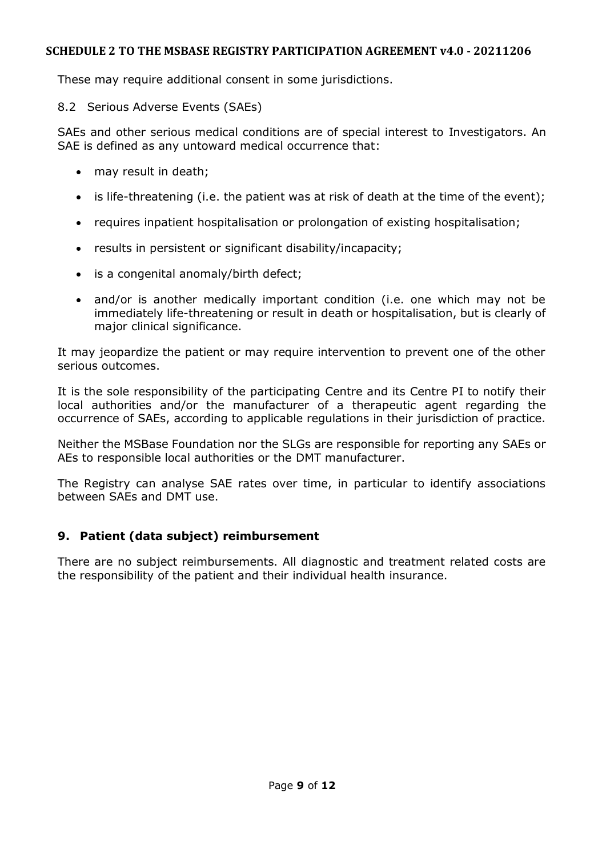These may require additional consent in some jurisdictions.

## <span id="page-8-0"></span>8.2 Serious Adverse Events (SAEs)

SAEs and other serious medical conditions are of special interest to Investigators. An SAE is defined as any untoward medical occurrence that:

- may result in death;
- is life-threatening (i.e. the patient was at risk of death at the time of the event);
- requires inpatient hospitalisation or prolongation of existing hospitalisation;
- results in persistent or significant disability/incapacity;
- is a congenital anomaly/birth defect;
- and/or is another medically important condition (i.e. one which may not be immediately life-threatening or result in death or hospitalisation, but is clearly of major clinical significance.

It may jeopardize the patient or may require intervention to prevent one of the other serious outcomes.

It is the sole responsibility of the participating Centre and its Centre PI to notify their local authorities and/or the manufacturer of a therapeutic agent regarding the occurrence of SAEs, according to applicable regulations in their jurisdiction of practice.

Neither the MSBase Foundation nor the SLGs are responsible for reporting any SAEs or AEs to responsible local authorities or the DMT manufacturer.

The Registry can analyse SAE rates over time, in particular to identify associations between SAEs and DMT use.

# <span id="page-8-1"></span>**9. Patient (data subject) reimbursement**

There are no subject reimbursements. All diagnostic and treatment related costs are the responsibility of the patient and their individual health insurance.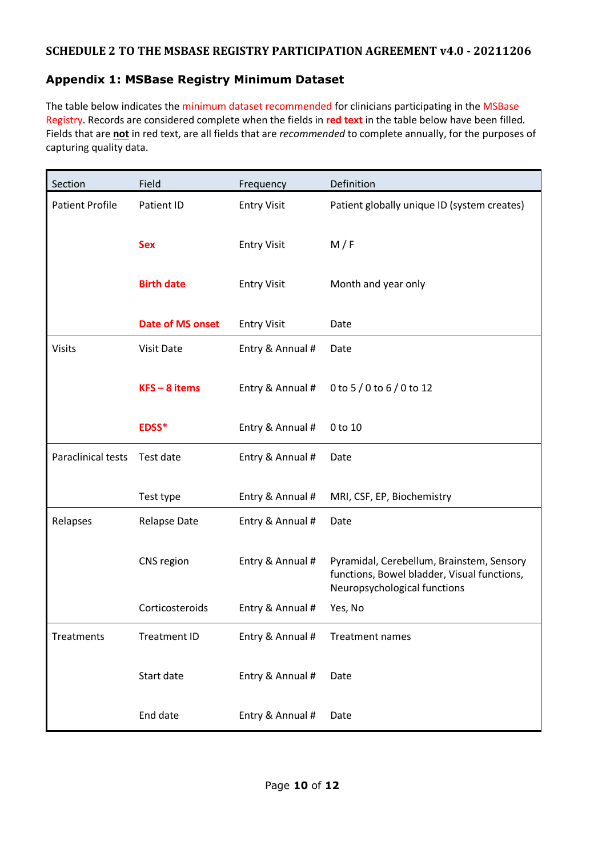# <span id="page-9-0"></span>**Appendix 1: MSBase Registry Minimum Dataset**

The table below indicates the minimum dataset recommended for clinicians participating in the MSBase Registry. Records are considered complete when the fields in **red text** in the table below have been filled. Fields that are **not** in red text, are all fields that are *recommended* to complete annually, for the purposes of capturing quality data.

| Section                | Field                   | Frequency          | Definition                                                                                                               |  |
|------------------------|-------------------------|--------------------|--------------------------------------------------------------------------------------------------------------------------|--|
| <b>Patient Profile</b> | Patient ID              | <b>Entry Visit</b> | Patient globally unique ID (system creates)                                                                              |  |
|                        | <b>Sex</b>              | <b>Entry Visit</b> | M/F                                                                                                                      |  |
|                        | <b>Birth date</b>       | <b>Entry Visit</b> | Month and year only                                                                                                      |  |
|                        | <b>Date of MS onset</b> | <b>Entry Visit</b> | Date                                                                                                                     |  |
| <b>Visits</b>          | Visit Date              | Entry & Annual #   | Date                                                                                                                     |  |
|                        | $KFS - 8$ items         | Entry & Annual #   | 0 to 5 / 0 to 6 / 0 to 12                                                                                                |  |
|                        | EDSS*                   | Entry & Annual #   | 0 to 10                                                                                                                  |  |
| Paraclinical tests     | Test date               | Entry & Annual #   | Date                                                                                                                     |  |
|                        | Test type               | Entry & Annual #   | MRI, CSF, EP, Biochemistry                                                                                               |  |
| Relapses               | <b>Relapse Date</b>     | Entry & Annual #   | Date                                                                                                                     |  |
|                        | CNS region              | Entry & Annual #   | Pyramidal, Cerebellum, Brainstem, Sensory<br>functions, Bowel bladder, Visual functions,<br>Neuropsychological functions |  |
|                        | Corticosteroids         | Entry & Annual #   | Yes, No                                                                                                                  |  |
| Treatments             | <b>Treatment ID</b>     | Entry & Annual #   | <b>Treatment names</b>                                                                                                   |  |
|                        | Start date              | Entry & Annual #   | Date                                                                                                                     |  |
|                        | End date                | Entry & Annual #   | Date                                                                                                                     |  |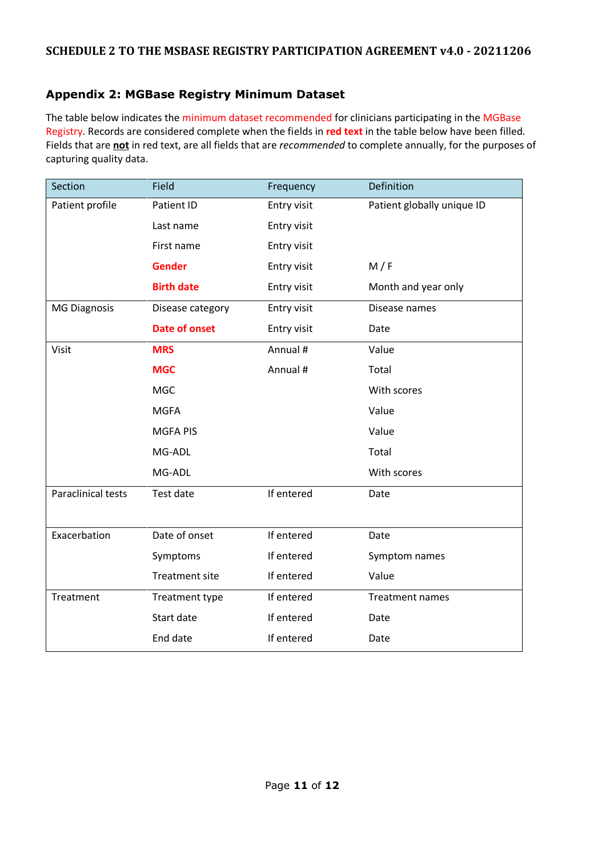# **Appendix 2: MGBase Registry Minimum Dataset**

The table below indicates the minimum dataset recommended for clinicians participating in the MGBase Registry. Records are considered complete when the fields in **red text** in the table below have been filled. Fields that are **not** in red text, are all fields that are *recommended* to complete annually, for the purposes of capturing quality data.

| Section                   | Field                 | Frequency   | Definition                 |
|---------------------------|-----------------------|-------------|----------------------------|
| Patient profile           | Patient ID            | Entry visit | Patient globally unique ID |
|                           | Last name             | Entry visit |                            |
|                           | First name            | Entry visit |                            |
|                           | <b>Gender</b>         | Entry visit | M/F                        |
|                           | <b>Birth date</b>     | Entry visit | Month and year only        |
| <b>MG Diagnosis</b>       | Disease category      | Entry visit | Disease names              |
|                           | <b>Date of onset</b>  | Entry visit | Date                       |
| Visit                     | <b>MRS</b>            | Annual #    | Value                      |
|                           | <b>MGC</b>            | Annual #    | Total                      |
|                           | <b>MGC</b>            |             | With scores                |
|                           | <b>MGFA</b>           |             | Value                      |
|                           | <b>MGFA PIS</b>       |             | Value                      |
|                           | MG-ADL                |             | Total                      |
|                           | MG-ADL                |             | With scores                |
| <b>Paraclinical tests</b> | Test date             | If entered  | Date                       |
|                           |                       |             |                            |
| Exacerbation              | Date of onset         | If entered  | Date                       |
|                           | Symptoms              | If entered  | Symptom names              |
|                           | <b>Treatment site</b> | If entered  | Value                      |
| Treatment                 | Treatment type        | If entered  | <b>Treatment names</b>     |
|                           | Start date            | If entered  | Date                       |
|                           | End date              | If entered  | Date                       |